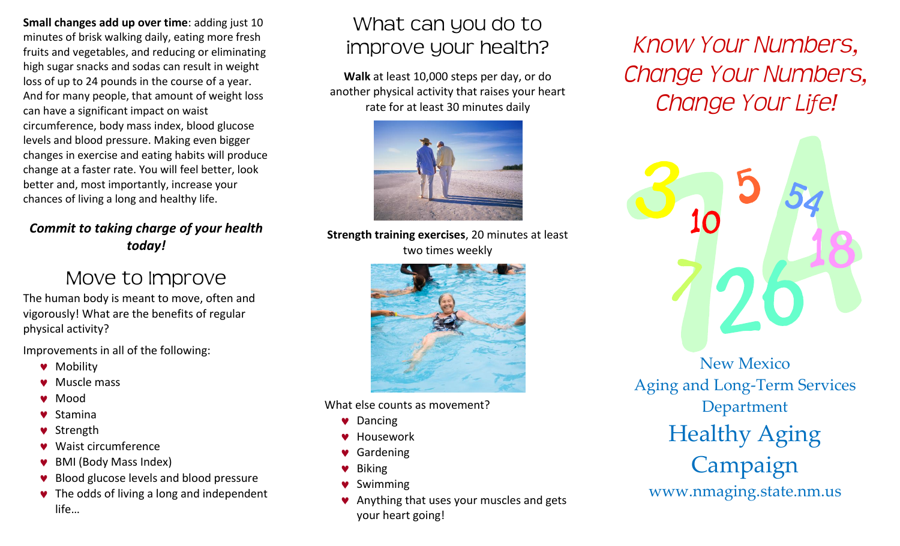**Small changes add up over time**: adding just 10 minutes of brisk walking daily, eating more fresh fruits and vegetables, and reducing or eliminating high sugar snacks and sodas can result in weight loss of up to 24 pounds in the course of a year. And for many people, that amount of weight loss can have a significant impact on waist circumference, body mass index, blood glucose levels and blood pressure. Making even bigger changes in exercise and eating habits will produce change at a faster rate. You will feel better, look better and, most importantly, increase your chances of living a long and healthy life.

#### *Commit to taking charge of your health today!*

# Move to Improve

The human body is meant to move, often and vigorously! What are the benefits of regular physical activity?

Improvements in all of the following:

- **W** Mobility
- ♥ Muscle mass
- Mood  $\bullet$
- Stamina
- Strength
- Waist circumference
- BMI (Body Mass Index)
- Blood glucose levels and blood pressure
- The odds of living a long and independent life…

# What can you do to improve your health?

**Walk** at least 10,000 steps per day, or do another physical activity that raises your heart rate for at least 30 minutes daily



**Strength training exercises**, 20 minutes at least two times weekly



What else counts as movement?

- **v** Dancing
- **W** Housework
- ♥ Gardening
- Biking
- **▼** Swimming
- Anything that uses your muscles and gets your heart going!

*Know Your Numbers, Change Your Numbers, Change Your Life!*



Aging and Long-Term Services Department Healthy Aging Campaign www.nmaging.state.nm.us